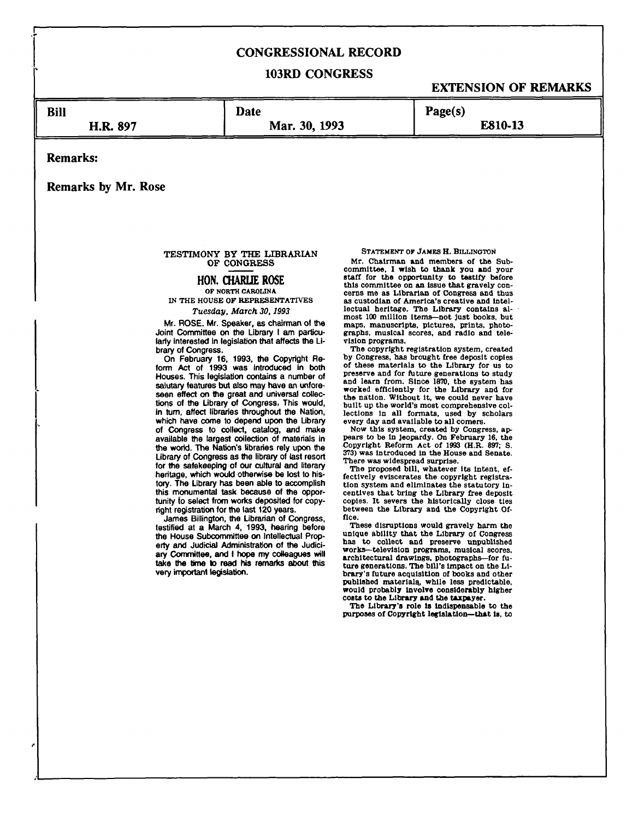# **CONGRESSIONAL RECORD**

## **103RD CONGRESS**

# **EXTENSION OF REMARKS**

**Bill** 

**Mar. 30, 1993** 

**E810-13** 

**Remarks:** 

**Remarks by Mr. Rose** 

**H.R. 897** 

#### **TESTIMONY BY THE LIBRARIAN OF CONGRESS**

**Date** 

# **HON. CHARLIE ROSE**

### **OF NORTH CAROLINA IN THE HOUSE OF REPRESENTATIVES**

#### *Tuesday, March 30,1993*

**Mr. ROSE. Mr. Speaker, as chairman of the Joint Committee on the Library I am particularly interested In legislation that affects the Library of Congress.** 

**On February 16, 1993, the Copyright Reform Act of 1993 was introduced in both Houses. This legislation contains a number of salutary features but also may have an unforeseen effect on the great and universal collections of the Library of Congress. This would, in turn, affect libraries throughout the Nation, which have come to depend upon the Library of Congress to collect, catalog, and make available the largest collection of materials in the world. The Nation's libraries rely upon the Library of Congress as the library of last resort for the safekeeping of our cultural and literary heritage, which would otherwise be lost to history. The Library has been able to accomplish this monumental task because of the opportunity to select from works deposited for copyright registration for the last 120 years.** 

**James Billington, the Librarian of Congress, testified at a March 4, 1993, hearing before the House Subcommittee on Intellectual Property and Judicial Administration of the Judiciary Committee, and I hope my colleagues will take the time to read his remarks about this very important legislation.** 

**STATEMENT OF JAMES H. BILLINOTON** 

**Page(s)** 

**Mr. Chairman and members of the Subcommittee, I wish to thank you and your staff for the opportunity to testify before this committee on an Issue that gravely concerns me as Librarian of Congress and thus as custodian of America's creative and intellectual heritage. The Library contains almost 100 million Items—not Just books, but maps, manuscripts, pictures, prints, photographs, musical scores, and radio and television programs.** 

**The copyright registration system, created by Congress, has brought free deposit copies of these materials to the Library for us to preserve and for future generations to study and learn from. Since 1870, the system has worked efficiently for the Library and for the nation. Without it, we could never have built up the world's most comprehensive collections In all formats, used by scholars every day and available to all comers.** 

**Now this system, created by Congress, appears to be In Jeopardy. On February 16, the Copyright Reform Act of 1993 (H.R. 897; S. 373) was Introduced In the House and Senate.** 

**There was widespread surprise. The proposed bill, whatever its Intent, effectively eviscerates the copyright registration system and eliminates the statutory incentives that bring the Library free deposit copies. It severs the historically close ties between the Library and the Copyright Office.** 

**These disruptions would gravely harm the unique ability that the Library of Congress has to collect and preserve unpublished works—television programs, musical scores, architectural drawings, photographs—for future generations. The bill's impact on the Library's future acquisition of books and other published materials^ while less predictable, would probably involve considerably higher costs to the Library and the taxpayer.** 

**The Library's role is indispensable to the purposes of Copyright legislation—that is, to**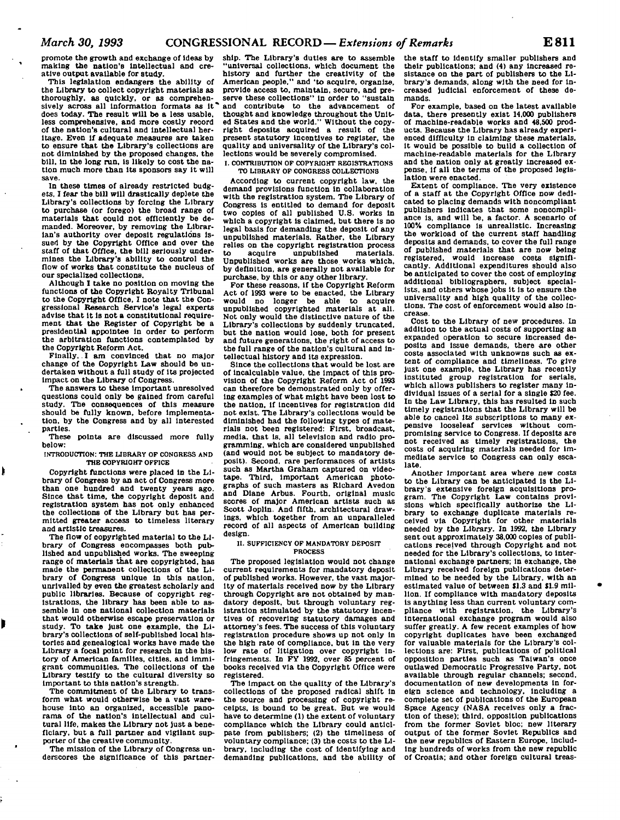promote the growth and exchange of Ideas by making the nation's Intellectual and creative output available for study.

This legislation endangers the ability of the Library to collect copyright materials as thoroughly, as quickly, or as comprehensively across all information formats as it does today. The result will be a less usable, less comprehensive, and more costly record of the nation's cultural and intellectual heritage. Even If adequate measures are taken to ensure that the Library's collections are not diminished by the proposed changes, the bill, in the long run, Is likely to cost the nation much more than Its sponsors say it will save.

In these times of already restricted budgets, I fear the bill will drastically deplete the Library's collections by forcing the Library to purchase (or forego) the broad range of materials that could not efficiently be demanded. Moreover, by removing the Librarian's authority over deposit regulations Issued by the Copyright Office and over the staff of that Office, the bill seriously undermines the Library's ability to control the flow of works that constitute the nucleus of our specialized collections.

Although I take no position on moving the functions of the Copyright Royalty Tribunal to the Copyright Office, I note that the Congressional Research Service's legal experts advise that it Is not a constitutional requirement that the Register of Copyright be a presidential appointee In order to perform the arbitration functions contemplated by the Copyright Reform Act.

Finally,. I am convinced that no major change of the Copyright Law should be undertaken without a full study of its projected Impact on the Library of Congress.

The answers to these Important unresolved questions could only be gained from careful study. The consequences of this measure should be fully known, before Implementation, by the Congress and by all Interested parties.<br>These

points are discussed more fully below:

INTRODUCTION: THE LIBRARY OF CONGRESS AND THE COPYRIGHT OFFICE

ŀ

Copyright functions were placed In the Library of Congress by an act of Congress more than one hundred and twenty years ago. Since that time, the copyright deposit and registration system has not only enhanced the collections of the Library but has permitted greater access to timeless literary and artistic treasures.

The flow of copyrighted material to the Library of Congress encompasses both published and unpublished works. The sweeping range of materials that are copyrighted, has made the permanent collections of the Library of Congress unique In this nation, unrivalled by even the greatest scholarly and public libraries. Because of copyright registrations, the library has been able to assemble In one national collection materials that would otherwise escape preservation or study. To take Just one example, the Library's collections of self-published local histories and genealogical works have made the Library a focal point for research in the history of American families, cities, and immigrant communities. The collections of the Library testify to the cultural diversity so Important to this nation's strength.

The commitment of the Library to transform what would otherwise be a vast warehouse into an organized, accessible panorama of the nation's intellectual and cultural life, makes the Library not Just a beneficiary, but a full partner and vigilant supporter of the creative community.

The mission of the Library of Congress underscores the significance of this partner-

ship. The Library's duties are to assemble "universal collections, which document the history and further the creativity of the American people," and 'to acquire, organize, provide access to. maintain, secure, and preserve these collections" in order to "sustain and contribute to the advancement of thought and knowledge throughout the United States and the world." Without the copyright deposits acquired a result of the present statutory incentives to register, the quality and universality of the Library's collections would be severely compromised.

**I. CONTRIBUTION OF COPYRIGHT REGISTRATIONS TO LIBRARY OF CONORESS COLLECTIONS** 

According to current copyright law, the demand provisions function in collaboration with the registration system. The Library of Congress Is entitled to demand for deposit two copies of all published U.S. works in which a copyright is claimed, but there is no legal basis for demanding the deposit of any unpublished materials. Rather, the Library relies on the copyright registration process<br>to acquire unpublished materials. to acquire unpublished materials.<br>Unpublished works are those works which, by definition, are generally not available for purchase, by this or any other library.

For these reasons, if the Copyright Reform Act of 1993 were to be enacted, the Library no longer be able unpublished copyrighted materials at all. Not only would the distinctive nature of the Library's collections by suddenly truncated, but the nation would lose, both for present and future generations, the right of access to the full range of the nation's cultural and intellectual history and Its expression.

Since the collections that would be lost are of incalculable value, the impact of this provision of the Copyright Reform Act of 1993 can therefore be demonstrated only by offering examples of what might have been lost to the nation, if incentives for registration did not exist. The Library's collections would be diminished had the following types of materials not been registered: First, broadcast, media, that is, all television and radio programming, which are considered unpublished (and would not be subject to mandatory deposit). Second, rare performances of artists such as Martha Graham captured on videotape. Third, Important American photo-graphs of such masters as Richard Avedon and Diane Arbus. Fourth, original music scores of major American artists such as Scott Joplin. And fifth, architectural drawings, which together from an unparalleled record of all aspects of American building design.

#### **n SUFFICIENCY OF MANDATORY DEPOSIT PROCESS**

The proposed legislation would not change current requirements for mandatory deposit of published works. However, the vast majority of materials received now by the Library through Copyright are not obtained by mandatory deposit, but through voluntary registration stimulated by the statutory Incentives of recovering statutory damages and attorney's fees. The success of this voluntary registration procedure shows up not only In the high rate of compliance, but In the very low rate of litigation over copyright Infringements. In FY 1992, over 85 percent of books received via the Copyright Office were registered.

The Impact on the quality of the Library's collections of the proposed radical shift In the source and processing of copyright receipts. Is bound to be great. But we would have to determine (1) the extent of voluntary compliance which the Library could anticipate from publishers: (2) the timeliness of voluntary compliance: (3) the costs to the Library, including the cost of Identifying and demanding publications, and the ability of

the staff to Identify smaller publishers and their publications; and (4) any increased resistance on the part of publishers to the Library's demands, along with the need for increased judicial enforcement of these demands.

For example, based on the latest available data, there presently exist 14,000 publishers of machine-readable works and 48,500 products. Because the Library has already experienced difficulty In claiming these materials, it would be possible to build a collection of machine-readable materials for the Library and the nation only at greatly increased expense, If all the terms of the proposed legislation were enacted.

Extent of compliance. The very existence of a staff at the Copyright Office now dedicated to placing demands with noncompllant publishers Indicates that some noncompliance is, and will be, a factor. A scenario of 100% compliance Is unrealistic. Increasing the workload of the current staff handling deposits and demands, to cover the full range of published materials that are now being registered, would Increase costs significantly. Additional expenditures should also be anticipated to cover the cost of employing additional bibliographers, subject specialists, and others whose Jobs It is to ensure the universality and high quality of the collections. The cost of enforcement would also Increase.

Cost to the Library of new procedures. In addition to the actual costs of supporting an expanded operation to secure Increased deposits and issue demands, there are other costs associated with unknowns such as extent of compliance and timeliness. To give Just one example, the Library has recently Instituted group registration for serials, which allows publishers to register many individual Issues of a serial for a single \$20 fee. In the Law Library, this has resulted In such timely registrations that the Library will be able to cancel Its subscriptions to many expensive looseleaf services without compromising service to Congress. If deposits are not received as timely registrations, the costs of acquiring materials needed for Immediate service to Congress can only escalate.

Another Important area where new costs to the Library can be anticipated is the Library's extensive foreign acquisitions program. The Copyright Law contains provisions which specifically authorize the Library to exchange duplicate materials received via Copyright for other materials needed by the Library. In 1992, the Library sent out approximately 38.000 copies of publications received through Copyright and not needed for the Library's collections, to international exchange partners; in exchange, the Library received foreign publications determined to be needed by the Library, with an estimated value of between \$1.3 and \$1.9 million. If compliance with mandatory deposits Is anything less than current voluntary compliance with registration, the Library's International exchange program would also suffer greatly. A few recent examples of how copyright duplicates have been exchanged for valuable materials for the Library's collections are: First, publications of political opposition parties such as Taiwan's once outlawed Democratic Progressive Party, not available through regular channels; second, documentation of new developments In foreign science and technology, including a complete set of publications of the European Space Agency (NASA receives only a fraction of these); third, opposition publications from the former Soviet bloc; new literary output of the former Soviet Republics and the new republics of Eastern Europe, including hundreds of works from the new republic of Croatia; and other foreign cultural treas-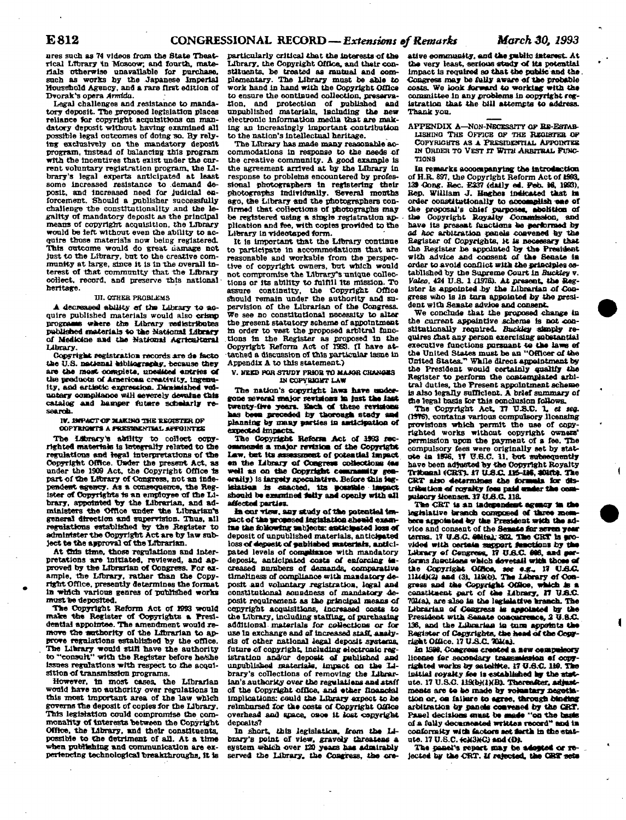**ures such as 74 videos from the State Theatrical Ltbrary in Moscow; and fourth, materials otherwise unavailable for purchase, such as works by tie Japanese Imperial Household Agency, and a rare first edition of Dvorak's opera** *Amrlda.* 

**Legal challenges and resistance to mandatory deposit. The proposed legislation places reliance for copyright acquisitions an man**datory deposit without having examined all possible legal outcomes of doing so. By rely**ing exclusively on the mandatory deposit program, instead of balancing this program**  with the incentives that exist under the car**rent voluntary registration program, the Library's legal experts anticipated at least some increased resistance to demand deposit, and increased need for Judicial enforcement. Should a publisher successfully challenge the constitutionality and the legality of mandatory deposit as the principal means of copyright acquisition, the Library would be left without even the ability to acquire those materials now being registered.**  This outcome would do great *liamage* not **just to the Library, but to the creative community at large, since it is in the overall in**terest of that community that the Library **collect, record, and preserve this national heritage.** 

#### **VI. OTHER PROBLEMS**

**A decreased ability of the Library to acquire published materials would also crimp**  programs where the Library redistributes published materials to the National Library **of Medicine and the National Agricultural Library.** 

**Copyright registration records axe da facto tie** *U.S.* **national bibliography, because they am the mast complete, unedited entries of the products of Americas creativity. Ingenu**ity, and artistic expression. Dirainished vel**uotary oompHaooe wiH severely devalue this**  catalog and hamper future scholarly re**search-**

**IV. IMPACT OF MAKING THE HBOJSTER Of OOPTWGHTS A fKESmCNTSai-AFPOINTrS** 

The Library's ability to collect copy**righted materiafe is Integrally related to the regulations and legal interpretations of the Copyright Office. Under the present Act, as under the 1909 Act, the Copyright Office Is part of the Library of Congress, not an Independent agency. As a consequence, the Reg**ister of Copyrights is an employee of the Li**brary, appointed %y the Librarian, and administers the Office under ttie Librarian's general direction and supervision. Thus, all regulations established by the Register to administer the Copyright Act are by law sub-Jectte the approval of the Lrbrarlan.** 

**At this time, those regulations and Interpretations are Initiated, reviewed, and approved by the Librarian of Congress. For example, the Library, rather than the Copy-right Office, presently determines the format In which various genres of published works must be deposited.** 

**The Copyright Reform Act of 1993 would make the Register of Copyrights a Presl**dential appointee. The amendment would remove the suthority of the Librarian to approve regulations established by the office. **The Library would stlfl nave the authority to ""consult" with the Register before he/she issues regulations with respect to the acqui**sition of transmission programs.

**However, tn most cases, the Librarian would hare no authority over regulations In**  this most important area of the law which **governs the deposit of copies for the Library. This legislation could compromise the commonality of Interests 'between the Copyright Office, the Library, and their constituents, possible to the detriment of all. At a time**  when publishing and communication are ex**periencing technological breakthroughs, It is** 

particularly critical that the interests of the **Library, the Copyright Office, and their constituents, be treated as mutual and complementary. The Library must be able to work hand in hand with the Copyright Office to ensure the continued collection, preservation, and protection of published and unpublished materials. Including the new electronic information media that are making an Increasingly Important contribution to the nation's intellectual heritage.** 

**The Library nas made many reasonable accommodations In response to the needs of the creative community. A good example Is the agreement arrived at by the Library In response to problems encountered by professional photographers in registering their photographs Individually. Several months ago, die Library and the photographers confirmed that collections of photographs may**  be registered using a single registration ap**plication and fee, with copies provided to the**  Library in videotaped form.

**It is important Utat the Library continue to participate in accommodations tiiat are reasonable and workable from the perspective of copyright owners, but which would not compromise the Library's unique collections or its ability to fulfill its mission. To assure continuity, the Copyright Office**  should remain under the authority and su**pervision of the Librarian of the Congress. We see no constitutional necessity to alter the present statutory scheme of appointment**  in order to vest the proposed arbitral func**tions Is the Register as proposed In the Copyright Reform Act of 1993. fl have attached a discussion of this particular Issue in Appendix A to this statement)** 

#### **V. MEKB** *fORSmWT* **PRJOB TO MAJOR CHMMWS IN COPYBiaHT LAW**

The nation's copyright laws have under**gone several major revisions In fast the last twenty-five years. Bach of these revisions has been preceded by thorough stady and planning by many parties in asdlclfatton of expected impacts.** 

**The Copyright Reform Act of 3993 recoamesde a -major revision of the Copyright Law, bat Its assessment of potential impact**  en the Library of Congress collections (as **well as on the Copyrigbt cenuasatity gen**erally) is largely speculative. Before this leg**kdattoa is enacted. Us eosstbie Impact should be examined fatty and openly with all affected parties.** 

**in ©or -rtew. aay study of the potential Impact of the proposed legislation ehawM exaav raa the following sab]eGts: anticipated loss of deposit of unpublished materials, anticipated**  loss of deposit of published materials, antici**pated levels of compliance with mandatory deposit, anticipated costs of enforcing Increased numbers of demands, comparative timeliness of compliance with mandatory deposit and voluntary xeglstrattoa, legal and**  constitutional soundness of mandatory de**posit requirement as the principal means of copyright acquisitions. Increased costs to**  the Library, including staffing, of purchasing **additional materials for collections or for use In exchange and of increased staff, analysis of other national legal deposit systems, future of copyright, Including electronic registration and/or deposit of published and unpublished materials, impact on the library's collections of removing the Librar**ian's authority over the regulations and staff **of the Copyright office, and other financial Implications: could the Library expect to he reimbursed for the costs of Copyright Office overhead and space, oaos it lost copyright deposits?** 

**in short, this legislation, from the Library's point of view, gravely threatens a system which over 120 years has admirably served the Library, the Congress, the cre-**

ative community, and the public interest. At **the very least, serious stedy of its potential Impact Is required so that the public and the Congress may be fully aware of the probable costs. We look forward to working with the committee In any problems in oopyrtght registration that the bill attempts to address. Thank you.** 

**APPENDIX A—NON-NECESSITY OP RE-ESTAFL-**LISHING THE OFFICE OF THE REGISTER OF **COPYRIGHTS AS** *A* **PRESIDEOTIAI. APPOINTEE IN ORDER TO VEST IT WITH ARBITRAL FUNC-TIONS** 

**In remarks accompanying the introduction of H.R. 897, the Copyright Reform Act of 1993.**  139 Gong. Rec. *E237 (daily ed. Feb. 16, 1993)*, **Rep. William J. Haghet indicated that ta**  order constitutionally to accomplish case of the proposal's chief purposes, abolition of the Copyright Royalty Commission, and **have its present functions he performed by**  *ad hoc* **arbitration panels convened by the Register of Copyrights, it is neceesary that the Register he appointed by the President with advice and consent of the Senate la order to avoid conflict with the principles established by the Supreme Court in** *Buckley* **v.**  *Valeo,* **424 U.& 1 il97fl). At present, the Register is appointed by the Librarian of Congress who Is in torn appointed by the president with Senate advice and consent.** 

**"We conclude that the proposed change In**  the current appointive scheme is not con**stltatlonally required.** *Buckiey* **simply requires that any person exercising substantial executive functions pursuant to the laws of the United States must he an "Officer of the United States." While direct appointment by the President would certainly qualify the Register to perform the contemplated arbitral duties, the Present appointment scheme Is also legally sufficient. A brief summary of the legal basis tor this conclusion follows.** 

The Copyright Act, **17 U.S.C.** 1, et seq. (1976), contains various compulsory licensing **provisions which permit the use of copyrighted works without oopyrtght owners\***  permission upon the payment of a fee. The **compulsory fees were originally set by statute la 1936, 17 U.8.C. 11. hot subsequently have been adjusted by the Copyright Royalty**  Tribunal (CRT), 17 U.S.C. 116-116, 2010). The CRT also determines the formula for distribution of royalty fees paid wader the com**pulsory licenses. 37***ISMC116.* 

**The CRT is an Independent agency 1a (he**  legislative branch composed of three mes **bere appelated by the President with the ad**vice and consent of the Senate for seven year terras. 17 U.S.C. 401(a). 302. The CRT is aro**vided with certain support functions by the Library of Congress. 17** *13&C* **696, and performs functions which dovetail with those of**  the Copyright Office, see e.g., 17 U.S.C.<br>111(d)(2) and (3), 119(b). The Library of Con**gress and the Copyright OCttoe, which is a canatitaent part of the library. H U.S.C. 701(a). are also In the legislative branch. The Librarian of Congress Is appointed by the President with Senate ooaoacrence,** *3* **U.SXL 136, and the Librarian in tana appoints the**  Register of Copyrights, the head of the Cour**right Office. 17 U.S.C. TOKai.** 

**In 1988. Congress created a new oampafaory license far secondary trnnnmlminn ef copy-righted works by sateMtte. 17 U.6.C 119. The Initial royalty fee Is established by the stat**ute. 17 U.S.C. 119(b)(1)(B). Thereafter, adjustments are to be made by voluntary negotia**tion or, on falters to agree, through Madtag arbitration by panels convened by the CRT.**  Panel decisions onust be made "on the basis **of a fully decameated written record\*\* and in conformity with factors aettath in itte stat**ute. 17 U.S.C.  $\leftarrow$ X3XC) and (D).

The panel's report may be adapted or re**jected by the CRT. If rejected, the CRT sets**